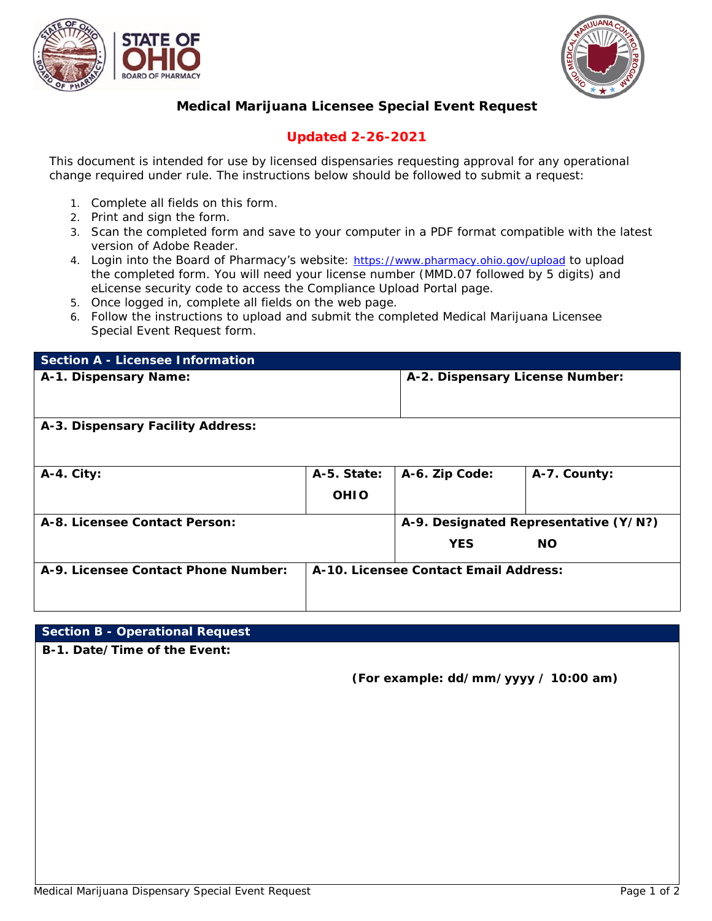



# **Medical Marijuana Licensee Special Event Request**

# **Updated 2-26-2021**

*This document is intended for use by licensed dispensaries requesting approval for any operational change required under rule. The instructions below should be followed to submit a request:*

- 1. Complete all fields on this form.
- 2. Print and sign the form.
- 3. Scan the completed form and save to your computer in a PDF format compatible with the latest version of Adobe Reader.
- 4. Login into the Board of Pharmacy's website: <https://www.pharmacy.ohio.gov/upload> to upload the completed form. You will need your license number (MMD.07 followed by 5 digits) and eLicense security code to access the Compliance Upload Portal page.
- 5. Once logged in, complete all fields on the web page.
- 6. Follow the instructions to upload and submit the completed Medical Marijuana Licensee Special Event Request form.

| <b>Section A - Licensee Information</b> |                                       |                                       |              |
|-----------------------------------------|---------------------------------------|---------------------------------------|--------------|
| A-1. Dispensary Name:                   |                                       | A-2. Dispensary License Number:       |              |
| A-3. Dispensary Facility Address:       |                                       |                                       |              |
| A-4. City:                              | A-5. State:<br><b>OHIO</b>            | A-6. Zip Code:                        | A-7. County: |
| A-8. Licensee Contact Person:           |                                       | A-9. Designated Representative (Y/N?) |              |
|                                         |                                       | <b>YES</b>                            | <b>NO</b>    |
| A-9. Licensee Contact Phone Number:     | A-10. Licensee Contact Email Address: |                                       |              |

## **Section B - Operational Request**

**B-1. Date/Time of the Event:**

 **(For example: dd/mm/yyyy / 10:00 am)**